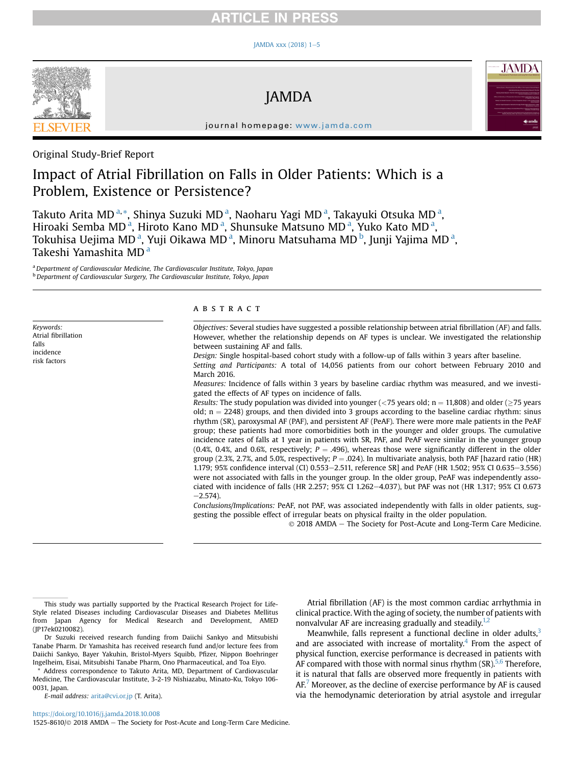## **RTICLE IN PRESS**

#### JAMDA xxx (2018)  $1-5$  $1-5$



Keywords: Atrial fibrillation

falls incidence risk factors JAMDA



journal homepage: [www.jamda.com](http://www.jamda.com)

## Original Study-Brief Report

## Impact of Atrial Fibrillation on Falls in Older Patients: Which is a Problem, Existence or Persistence?

Takuto Arita MD<sup>a,</sup>\*, Shinya Suzuki MD<sup>a</sup>, Naoharu Yagi MD<sup>a</sup>, Takayuki Otsuka MD<sup>a</sup>, Hiroaki Semba MD<sup>a</sup>, Hiroto Kano MD<sup>a</sup>, Shunsuke Matsuno MD<sup>a</sup>, Yuko Kato MD<sup>a</sup>, Tokuhisa Uejima MD<sup>a</sup>, Yuji Oikawa MD<sup>a</sup>, Minoru Matsuhama MD<sup>b</sup>, Junji Yajima MD<sup>a</sup>, Takeshi Yamashita MD<sup>a</sup>

<sup>a</sup> Department of Cardiovascular Medicine, The Cardiovascular Institute, Tokyo, Japan **b** Department of Cardiovascular Surgery, The Cardiovascular Institute, Tokyo, Japan

### ABSTRACT

Objectives: Several studies have suggested a possible relationship between atrial fibrillation (AF) and falls. However, whether the relationship depends on AF types is unclear. We investigated the relationship between sustaining AF and falls. Design: Single hospital-based cohort study with a follow-up of falls within 3 years after baseline.

Setting and Participants: A total of 14,056 patients from our cohort between February 2010 and March 2016.

Measures: Incidence of falls within 3 years by baseline cardiac rhythm was measured, and we investigated the effects of AF types on incidence of falls.

Results: The study population was divided into younger (<75 years old;  $n = 11,808$ ) and older ( $\geq$ 75 years old;  $n = 2248$ ) groups, and then divided into 3 groups according to the baseline cardiac rhythm: sinus rhythm (SR), paroxysmal AF (PAF), and persistent AF (PeAF). There were more male patients in the PeAF group; these patients had more comorbidities both in the younger and older groups. The cumulative incidence rates of falls at 1 year in patients with SR, PAF, and PeAF were similar in the younger group (0.4%, 0.4%, and 0.6%, respectively;  $P = .496$ ), whereas those were significantly different in the older group (2.3%, 2.7%, and 5.0%, respectively;  $P = .024$ ). In multivariate analysis, both PAF [hazard ratio (HR) 1.179; 95% confidence interval (CI) 0.553–2.511, reference SR] and PeAF (HR 1.502; 95% CI 0.635–3.556) were not associated with falls in the younger group. In the older group, PeAF was independently associated with incidence of falls (HR 2.257; 95% CI 1.262-4.037), but PAF was not (HR 1.317; 95% CI 0.673  $-2.574$ ).

Conclusions/Implications: PeAF, not PAF, was associated independently with falls in older patients, suggesting the possible effect of irregular beats on physical frailty in the older population.

2018 AMDA e The Society for Post-Acute and Long-Term Care Medicine.

E-mail address: [arita@cvi.or.jp](mailto:arita@cvi.or.jp) (T. Arita).

<https://doi.org/10.1016/j.jamda.2018.10.008>

1525-8610/ $\odot$  2018 AMDA - The Society for Post-Acute and Long-Term Care Medicine.

Atrial fibrillation (AF) is the most common cardiac arrhythmia in clinical practice. With the aging of society, the number of patients with nonvalvular AF are increasing gradually and steadily. $1,2$ 

Meanwhile, falls represent a functional decline in older adults, $3$ and are associated with increase of mortality.<sup>4</sup> From the aspect of physical function, exercise performance is decreased in patients with AF compared with those with normal sinus rhythm  $(SR)$ <sup>5,6</sup> Therefore, it is natural that falls are observed more frequently in patients with  $AF<sup>7</sup>$  Moreover, as the decline of exercise performance by  $AF$  is caused via the hemodynamic deterioration by atrial asystole and irregular

This study was partially supported by the Practical Research Project for Life-Style related Diseases including Cardiovascular Diseases and Diabetes Mellitus from Japan Agency for Medical Research and Development, AMED (JP17ek0210082).

Dr Suzuki received research funding from Daiichi Sankyo and Mitsubishi Tanabe Pharm. Dr Yamashita has received research fund and/or lecture fees from Daiichi Sankyo, Bayer Yakuhin, Bristol-Myers Squibb, Pfizer, Nippon Boehringer Ingelheim, Eisai, Mitsubishi Tanabe Pharm, Ono Pharmaceutical, and Toa Eiyo.

Address correspondence to Takuto Arita, MD, Department of Cardiovascular Medicine, The Cardiovascular Institute, 3-2-19 Nishiazabu, Minato-Ku, Tokyo 106- 0031, Japan.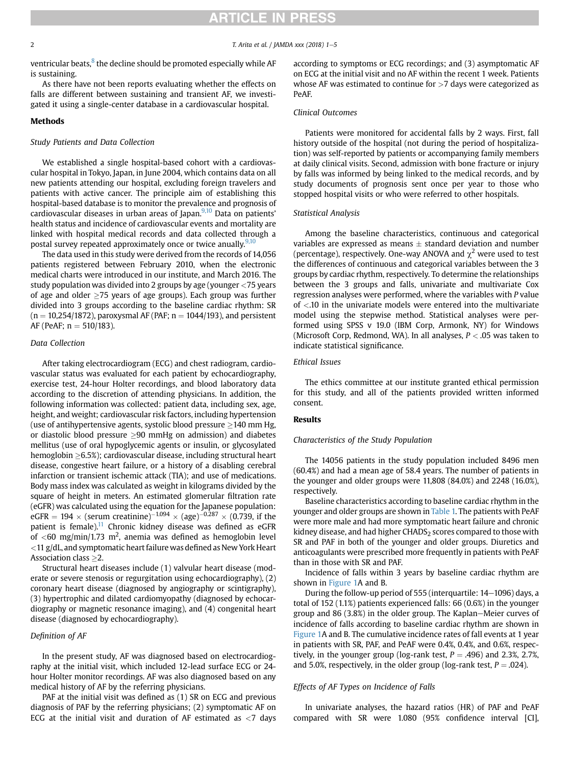# **ARTICLE IN PRESS**

#### 2 T. Arita et al. / JAMDA xxx (2018) 1-5

ventricular beats, $8$  the decline should be promoted especially while AF is sustaining.

As there have not been reports evaluating whether the effects on falls are different between sustaining and transient AF, we investigated it using a single-center database in a cardiovascular hospital.

#### Methods

#### Study Patients and Data Collection

We established a single hospital-based cohort with a cardiovascular hospital in Tokyo, Japan, in June 2004, which contains data on all new patients attending our hospital, excluding foreign travelers and patients with active cancer. The principle aim of establishing this hospital-based database is to monitor the prevalence and prognosis of cardiovascular diseases in urban areas of Japan.<sup>9,10</sup> Data on patients' health status and incidence of cardiovascular events and mortality are linked with hospital medical records and data collected through a postal survey repeated approximately once or twice anually.<sup>[9,10](#page-3-0)</sup>

The data used in this study were derived from the records of 14,056 patients registered between February 2010, when the electronic medical charts were introduced in our institute, and March 2016. The study population was divided into 2 groups by age (younger <75 years of age and older  $\geq$ 75 years of age groups). Each group was further divided into 3 groups according to the baseline cardiac rhythm: SR  $(n = 10,254/1872)$ , paroxysmal AF (PAF;  $n = 1044/193$ ), and persistent AF (PeAF;  $n = 510/183$ ).

#### Data Collection

After taking electrocardiogram (ECG) and chest radiogram, cardiovascular status was evaluated for each patient by echocardiography, exercise test, 24-hour Holter recordings, and blood laboratory data according to the discretion of attending physicians. In addition, the following information was collected: patient data, including sex, age, height, and weight; cardiovascular risk factors, including hypertension (use of antihypertensive agents, systolic blood pressure  $\geq$ 140 mm Hg, or diastolic blood pressure  $\geq$ 90 mmHg on admission) and diabetes mellitus (use of oral hypoglycemic agents or insulin, or glycosylated hemoglobin  $\geq$ 6.5%); cardiovascular disease, including structural heart disease, congestive heart failure, or a history of a disabling cerebral infarction or transient ischemic attack (TIA); and use of medications. Body mass index was calculated as weight in kilograms divided by the square of height in meters. An estimated glomerular filtration rate (eGFR) was calculated using the equation for the Japanese population: eGFR = 194  $\times$  (serum creatinine)<sup>-1.094</sup>  $\times$  (age)<sup>-0.287</sup>  $\times$  (0.739, if the patient is female).<sup>[11](#page-3-0)</sup> Chronic kidney disease was defined as eGFR of  $<$ 60 mg/min/1.73 m<sup>2</sup>, anemia was defined as hemoglobin level  $<$  11 g/dL, and symptomatic heart failure was defined as New York Heart Association class  $\geq$ 2.

Structural heart diseases include (1) valvular heart disease (moderate or severe stenosis or regurgitation using echocardiography), (2) coronary heart disease (diagnosed by angiography or scintigraphy), (3) hypertrophic and dilated cardiomyopathy (diagnosed by echocardiography or magnetic resonance imaging), and (4) congenital heart disease (diagnosed by echocardiography).

## Definition of AF

In the present study, AF was diagnosed based on electrocardiography at the initial visit, which included 12-lead surface ECG or 24 hour Holter monitor recordings. AF was also diagnosed based on any medical history of AF by the referring physicians.

PAF at the initial visit was defined as (1) SR on ECG and previous diagnosis of PAF by the referring physicians; (2) symptomatic AF on ECG at the initial visit and duration of AF estimated as  $\langle 7 \rangle$  days according to symptoms or ECG recordings; and (3) asymptomatic AF on ECG at the initial visit and no AF within the recent 1 week. Patients whose AF was estimated to continue for  $>7$  days were categorized as PeAF.

### Clinical Outcomes

Patients were monitored for accidental falls by 2 ways. First, fall history outside of the hospital (not during the period of hospitalization) was self-reported by patients or accompanying family members at daily clinical visits. Second, admission with bone fracture or injury by falls was informed by being linked to the medical records, and by study documents of prognosis sent once per year to those who stopped hospital visits or who were referred to other hospitals.

#### Statistical Analysis

Among the baseline characteristics, continuous and categorical variables are expressed as means  $\pm$  standard deviation and number (percentage), respectively. One-way ANOVA and  $\chi^2$  were used to test the differences of continuous and categorical variables between the 3 groups by cardiac rhythm, respectively. To determine the relationships between the 3 groups and falls, univariate and multivariate Cox regression analyses were performed, where the variables with P value of <.10 in the univariate models were entered into the multivariate model using the stepwise method. Statistical analyses were performed using SPSS v 19.0 (IBM Corp, Armonk, NY) for Windows (Microsoft Corp, Redmond, WA). In all analyses,  $P < .05$  was taken to indicate statistical significance.

#### Ethical Issues

The ethics committee at our institute granted ethical permission for this study, and all of the patients provided written informed consent.

#### Results

#### Characteristics of the Study Population

The 14056 patients in the study population included 8496 men (60.4%) and had a mean age of 58.4 years. The number of patients in the younger and older groups were 11,808 (84.0%) and 2248 (16.0%), respectively.

Baseline characteristics according to baseline cardiac rhythm in the younger and older groups are shown in [Table 1.](#page-2-0) The patients with PeAF were more male and had more symptomatic heart failure and chronic kidney disease, and had higher CHADS<sub>2</sub> scores compared to those with SR and PAF in both of the younger and older groups. Diuretics and anticoagulants were prescribed more frequently in patients with PeAF than in those with SR and PAF.

Incidence of falls within 3 years by baseline cardiac rhythm are shown in [Figure 1A](#page-2-0) and B.

During the follow-up period of 555 (interquartile: 14-1096) days, a total of 152 (1.1%) patients experienced falls: 66 (0.6%) in the younger group and 86  $(3.8%)$  in the older group. The Kaplan–Meier curves of incidence of falls according to baseline cardiac rhythm are shown in [Figure 1](#page-2-0)A and B. The cumulative incidence rates of fall events at 1 year in patients with SR, PAF, and PeAF were 0.4%, 0.4%, and 0.6%, respectively, in the younger group (log-rank test,  $P = .496$ ) and 2.3%, 2.7%, and 5.0%, respectively, in the older group (log-rank test,  $P = .024$ ).

## Effects of AF Types on Incidence of Falls

In univariate analyses, the hazard ratios (HR) of PAF and PeAF compared with SR were 1.080 (95% confidence interval [CI],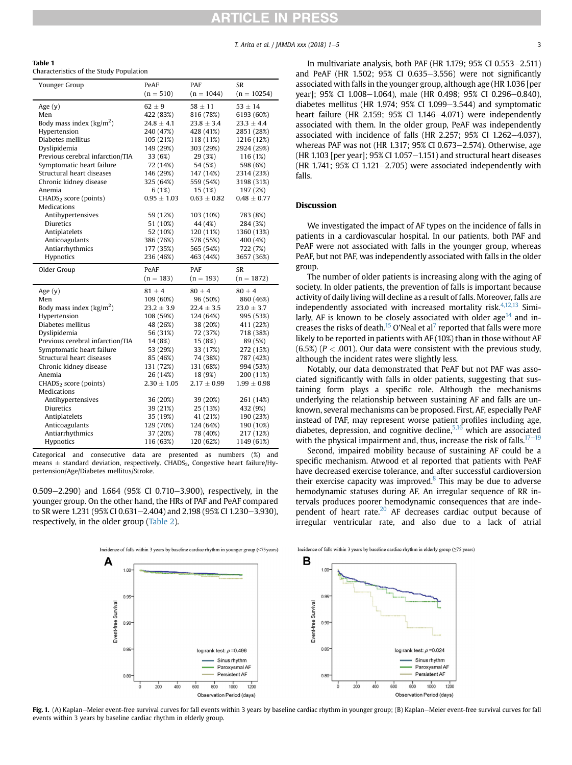<span id="page-2-0"></span>

| Table 1                                 |  |
|-----------------------------------------|--|
| Characteristics of the Study Population |  |

| Younger Group                     | PeAF            | PAF             | <b>SR</b>       |
|-----------------------------------|-----------------|-----------------|-----------------|
|                                   | $(n = 510)$     | $(n = 1044)$    | $(n = 10254)$   |
| Age $(y)$                         | $62 \pm 9$      | $58 \pm 11$     | $53 \pm 14$     |
| Men                               | 422 (83%)       | 816 (78%)       | 6193 (60%)      |
| Body mass index $(kg/m2)$         | $24.8 \pm 4.1$  | $23.8 \pm 3.4$  | $23.3 \pm 4.4$  |
| Hypertension                      | 240 (47%)       | 428 (41%)       | 2851 (28%)      |
| Diabetes mellitus                 | 105 (21%)       | 118 (11%)       | 1216 (12%)      |
| Dyslipidemia                      | 149 (29%)       | 303 (29%)       | 2924 (29%)      |
| Previous cerebral infarction/TIA  | 33 (6%)         | 29 (3%)         | 116 (1%)        |
| Symptomatic heart failure         | 72 (14%)        | 54 (5%)         | 598 (6%)        |
| Structural heart diseases         | 146 (29%)       | 147 (14%)       | 2314 (23%)      |
| Chronic kidney disease            | 325 (64%)       | 559 (54%)       | 3198 (31%)      |
| Anemia                            | 6(1%)           | 15 (1%)         | 197 (2%)        |
| CHADS <sub>2</sub> score (points) | $0.95 \pm 1.03$ | $0.63 \pm 0.82$ | $0.48 \pm 0.77$ |
| <b>Medications</b>                |                 |                 |                 |
| Antihypertensives                 | 59 (12%)        | 103 (10%)       | 783 (8%)        |
| <b>Diuretics</b>                  | 51 (10%)        | 44 (4%)         | 284 (3%)        |
| Antiplatelets                     | 52 (10%)        | 120 (11%)       | 1360 (13%)      |
| Anticoagulants                    | 386 (76%)       | 578 (55%)       | 400 (4%)        |
| Antiarrhythmics                   | 177 (35%)       | 565 (54%)       | 722 (7%)        |
| Hypnotics                         | 236 (46%)       | 463 (44%)       | 3657 (36%)      |
|                                   |                 |                 |                 |
| Older Group                       | PeAF            | <b>PAF</b>      | <b>SR</b>       |
|                                   | $(n = 183)$     | $(n = 193)$     | $(n = 1872)$    |
| Age $(y)$                         | $81 \pm 4$      | $80 \pm 4$      | $80 \pm 4$      |
| Men                               | 109 (60%)       | 96 (50%)        | 860 (46%)       |
| Body mass index $(kg/m2)$         | $23.2 \pm 3.9$  | $22.4 \pm 3.5$  | $23.0 \pm 3.7$  |
| Hypertension                      | 108 (59%)       | 124 (64%)       | 995 (53%)       |
| Diabetes mellitus                 | 48 (26%)        | 38 (20%)        | 411 (22%)       |
| Dyslipidemia                      | 56 (31%)        | 72 (37%)        | 718 (38%)       |
| Previous cerebral infarction/TIA  | 14 (8%)         | 15 (8%)         | 89 (5%)         |
| Symptomatic heart failure         | 53 (29%)        | 33 (17%)        | 272 (15%)       |
| Structural heart diseases         | 85 (46%)        | 74 (38%)        | 787 (42%)       |
| Chronic kidney disease            | 131 (72%)       | 131 (68%)       | 994 (53%)       |
| Anemia                            | 26 (14%)        | 18 (9%)         | 200 (11%)       |
| CHADS <sub>2</sub> score (points) | $2.30 \pm 1.05$ | $2.17 \pm 0.99$ | $1.99 \pm 0.98$ |
| Medications                       |                 |                 |                 |
| Antihypertensives                 | 36 (20%)        | 39 (20%)        | 261 (14%)       |
| Diuretics                         | 39 (21%)        | 25 (13%)        | 432 (9%)        |
| Antiplatelets                     | 35 (19%)        | 41 (21%)        | 190 (23%)       |
| Anticoagulants                    | 129 (70%)       | 124 (64%)       | 190 (10%)       |
| Antiarrhythmics                   | 37 (20%)        | 78 (40%)        | 217 (12%)       |

Categorical and consecutive data are presented as numbers (%) and means  $\pm$  standard deviation, respectively. CHADS<sub>2</sub>, Congestive heart failure/Hypertension/Age/Diabetes mellitus/Stroke.

0.509 $-2.290$ ) and 1.664 (95% CI 0.710 $-3.900$ ), respectively, in the younger group. On the other hand, the HRs of PAF and PeAF compared to SR were 1.231 (95% CI 0.631–2.404) and 2.198 (95% CI 1.230–3.930), respectively, in the older group [\(Table 2](#page-3-0)).

In multivariate analysis, both PAF (HR 1.179;  $95\%$  CI 0.553-2.511) and PeAF (HR 1.502;  $95\%$  CI 0.635-3.556) were not significantly associated with falls in the younger group, although age (HR 1.036 [per year]; 95% CI 1.008-1.064), male (HR 0.498; 95% CI 0.296-0.840), diabetes mellitus (HR 1.974;  $95\%$  CI 1.099-3.544) and symptomatic heart failure (HR 2.159; 95% CI 1.146 $-4.071$ ) were independently associated with them. In the older group, PeAF was independently associated with incidence of falls (HR 2.257; 95% CI 1.262 $-4.037$ ), whereas PAF was not (HR 1.317;  $95\%$  CI 0.673-2.574). Otherwise, age  $(HR\ 1.103$  [per year]; 95% CI 1.057 $-1.151$  and structural heart diseases  $(HR\ 1.741; 95\% \text{ CI } 1.121 - 2.705)$  were associated independently with falls.

### Discussion

We investigated the impact of AF types on the incidence of falls in patients in a cardiovascular hospital. In our patients, both PAF and PeAF were not associated with falls in the younger group, whereas PeAF, but not PAF, was independently associated with falls in the older group.

The number of older patients is increasing along with the aging of society. In older patients, the prevention of falls is important because activity of daily living will decline as a result of falls. Moreover, falls are independently associated with increased mortality risk. $4,12,13$  Similarly, AF is known to be closely associated with older age<sup>14</sup> and in-creases the risks of death.<sup>15</sup> O'Neal et al<sup>[7](#page-3-0)</sup> reported that falls were more likely to be reported in patients with AF (10%) than in those without AF  $(6.5%) (P < .001)$ . Our data were consistent with the previous study, although the incident rates were slightly less.

Notably, our data demonstrated that PeAF but not PAF was associated significantly with falls in older patients, suggesting that sustaining form plays a specific role. Although the mechanisms underlying the relationship between sustaining AF and falls are unknown, several mechanisms can be proposed. First, AF, especially PeAF instead of PAF, may represent worse patient profiles including age, diabetes, depression, and cognitive decline,  $5,16$  which are associated with the physical impairment and, thus, increase the risk of falls. $17-19$  $17-19$  $17-19$ 

Second, impaired mobility because of sustaining AF could be a specific mechanism. Atwood et al reported that patients with PeAF have decreased exercise tolerance, and after successful cardioversion their exercise capacity was improved. $8$  This may be due to adverse hemodynamic statuses during AF. An irregular sequence of RR intervals produces poorer hemodynamic consequences that are inde-pendent of heart rate.<sup>[20](#page-4-0)</sup> AF decreases cardiac output because of irregular ventricular rate, and also due to a lack of atrial



Fig. 1. (A) Kaplan-Meier event-free survival curves for fall events within 3 years by baseline cardiac rhythm in younger group; (B) Kaplan-Meier event-free survival curves for fall events within 3 years by baseline cardiac rhythm in elderly group.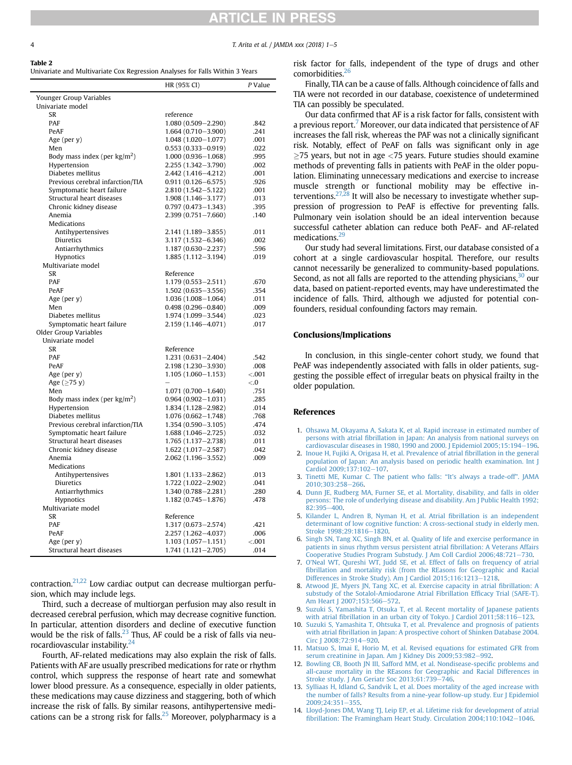<span id="page-3-0"></span>

# **RTICLE IN PRESS**

T. Arita et al. / JAMDA xxx (2018)  $1-5$ 

#### Table 2

Univariate and Multivariate Cox Regression Analyses for Falls Within 3 Years

|                                        | HR (95% CI)                         | P Value |
|----------------------------------------|-------------------------------------|---------|
| Younger Group Variables                |                                     |         |
| Univariate model                       |                                     |         |
| SR                                     | reference                           |         |
| <b>PAF</b>                             | 1.080 (0.509-2.290)                 | .842    |
| PeAF                                   | 1.664 (0.710-3.900)                 | .241    |
| Age (per y)                            | $1.048(1.020 - 1.077)$              | .001    |
| Men                                    | $0.553(0.333 - 0.919)$              | .022    |
| Body mass index (per $\text{kg/m}^2$ ) | $1.000(0.936 - 1.068)$              | .995    |
| Hypertension                           | 2.255 (1.342-3.790)                 | .002    |
| Diabetes mellitus                      | 2.442 (1.416-4.212)                 | .001    |
| Previous cerebral infarction/TIA       | $0.911(0.126 - 6.575)$              | .926    |
| Symptomatic heart failure              | 2.810 (1.542-5.122)                 | .001    |
| Structural heart diseases              | $1.908(1.146 - 3.177)$              | .013    |
| Chronic kidney disease                 | $0.797(0.473 - 1.343)$              | .395    |
| Anemia                                 | 2.399 (0.751-7.660)                 | .140    |
| <b>Medications</b>                     |                                     |         |
| Antihypertensives                      | 2.141 (1.189 - 3.855)               | .011    |
| Diuretics                              | 3.117 (1.532-6.346)                 | .002    |
| Antiarrhythmics                        | 1.187 (0.630-2.237)                 | .596    |
| Hypnotics                              | $1.885(1.112 - 3.194)$              | .019    |
| Multivariate model                     |                                     |         |
| SR                                     | Reference                           |         |
| <b>PAF</b>                             | $1.179(0.553 - 2.511)$              | .670    |
| PeAF                                   | $1.502(0.635 - 3.556)$              | .354    |
| Age (per y)                            | $1.036(1.008 - 1.064)$              | .011    |
| Men                                    | $0.498(0.296 - 0.840)$              | .009    |
| Diabetes mellitus                      | 1.974 (1.099-3.544)                 | .023    |
| Symptomatic heart failure              | 2.159 (1.146-4.071)                 | .017    |
| <b>Older Group Variables</b>           |                                     |         |
| Univariate model                       |                                     |         |
| SR<br><b>PAF</b>                       | Reference<br>$1.231(0.631 - 2.404)$ | .542    |
| PeAF                                   | 2.198 (1.230-3.930)                 | .008    |
| Age (per y)                            | $1.105(1.060 - 1.153)$              | < .001  |
| Age $(\geq 75 y)$                      |                                     | < 0.5   |
| Men                                    | $1.071(0.700 - 1.640)$              | .751    |
| Body mass index (per $\text{kg/m}^2$ ) | $0.964(0.902 - 1.031)$              | .285    |
| Hypertension                           | 1.834 (1.128-2.982)                 | .014    |
| Diabetes mellitus                      | $1.076(0.662 - 1.748)$              | .768    |
| Previous cerebral infarction/TIA       | $1.354(0.590 - 3.105)$              | .474    |
| Symptomatic heart failure              | $1.688(1.046 - 2.725)$              | .032    |
| Structural heart diseases              | 1.765 (1.137-2.738)                 | .011    |
| Chronic kidney disease                 | $1.622(1.017 - 2.587)$              | .042    |
| Anemia                                 | 2.062 (1.196-3.552)                 | .009    |
| <b>Medications</b>                     |                                     |         |
| Antihypertensives                      | $1.801(1.133 - 2.862)$              | .013    |
| Diuretics                              | $1.722(1.022 - 2.902)$              | .041    |
| Antiarrhythmics                        | 1.340 (0.788-2.281)                 | .280    |
| Hypnotics                              | $1.182(0.745 - 1.876)$              | .478    |
| Multivariate model                     |                                     |         |
| SR                                     | Reference                           |         |
| <b>PAF</b>                             | 1.317 (0.673-2.574)                 | .421    |
| PeAF                                   | 2.257 (1.262-4.037)                 | .006    |
| Age (per y)                            | $1.103(1.057 - 1.151)$              | < 0.001 |
| Structural heart diseases              | $1.741(1.121 - 2.705)$              | .014    |
|                                        |                                     |         |

contraction. $21,22$  Low cardiac output can decrease multiorgan perfusion, which may include legs.

Third, such a decrease of multiorgan perfusion may also result in decreased cerebral perfusion, which may decrease cognitive function. In particular, attention disorders and decline of executive function would be the risk of falls. $^{23}$  Thus, AF could be a risk of falls via neurocardiovascular instability.[24](#page-4-0)

Fourth, AF-related medications may also explain the risk of falls. Patients with AF are usually prescribed medications for rate or rhythm control, which suppress the response of heart rate and somewhat lower blood pressure. As a consequence, especially in older patients, these medications may cause dizziness and staggering, both of which increase the risk of falls. By similar reasons, antihypertensive medi-cations can be a strong risk for falls.<sup>[25](#page-4-0)</sup> Moreover, polypharmacy is a risk factor for falls, independent of the type of drugs and other comorbidities.<sup>[26](#page-4-0)</sup>

Finally, TIA can be a cause of falls. Although coincidence of falls and TIA were not recorded in our database, coexistence of undetermined TIA can possibly be speculated.

Our data confirmed that AF is a risk factor for falls, consistent with a previous report.<sup>7</sup> Moreover, our data indicated that persistence of AF increases the fall risk, whereas the PAF was not a clinically significant risk. Notably, effect of PeAF on falls was significant only in age  $\geq$ 75 years, but not in age  $<$ 75 years. Future studies should examine methods of preventing falls in patients with PeAF in the older population. Eliminating unnecessary medications and exercise to increase muscle strength or functional mobility may be effective interventions.<sup>27,28</sup> It will also be necessary to investigate whether suppression of progression to PeAF is effective for preventing falls. Pulmonary vein isolation should be an ideal intervention because successful catheter ablation can reduce both PeAF- and AF-related medications.<sup>29</sup>

Our study had several limitations. First, our database consisted of a cohort at a single cardiovascular hospital. Therefore, our results cannot necessarily be generalized to community-based populations. Second, as not all falls are reported to the attending physicians,  $30$  our data, based on patient-reported events, may have underestimated the incidence of falls. Third, although we adjusted for potential confounders, residual confounding factors may remain.

#### Conclusions/Implications

In conclusion, in this single-center cohort study, we found that PeAF was independently associated with falls in older patients, suggesting the possible effect of irregular beats on physical frailty in the older population.

#### References

- 1. [Ohsawa M, Okayama A, Sakata K, et al. Rapid increase in estimated number of](http://refhub.elsevier.com/S1525-8610(18)30581-4/sref1) persons with atrial fi[brillation in Japan: An analysis from national surveys on](http://refhub.elsevier.com/S1525-8610(18)30581-4/sref1) [cardiovascular diseases in 1980, 1990 and 2000. J Epidemiol 2005;15:194](http://refhub.elsevier.com/S1525-8610(18)30581-4/sref1)–[196.](http://refhub.elsevier.com/S1525-8610(18)30581-4/sref1)
- 2. [Inoue H, Fujiki A, Origasa H, et al. Prevalence of atrial](http://refhub.elsevier.com/S1525-8610(18)30581-4/sref2) fibrillation in the general [population of Japan: An analysis based on periodic health examination. Int J](http://refhub.elsevier.com/S1525-8610(18)30581-4/sref2)  $Cardiol 2009;137:102-107.$  $Cardiol 2009;137:102-107.$  $Cardiol 2009;137:102-107.$
- 3. [Tinetti ME, Kumar C. The patient who falls:](http://refhub.elsevier.com/S1525-8610(18)30581-4/sref3) "It's always a trade-off". JAMA [2010;303:258](http://refhub.elsevier.com/S1525-8610(18)30581-4/sref3)-[266.](http://refhub.elsevier.com/S1525-8610(18)30581-4/sref3)
- 4. [Dunn JE, Rudberg MA, Furner SE, et al. Mortality, disability, and falls in older](http://refhub.elsevier.com/S1525-8610(18)30581-4/sref4) [persons: The role of underlying disease and disability. Am J Public Health 1992;](http://refhub.elsevier.com/S1525-8610(18)30581-4/sref4)  $82:395 - 400.$  $82:395 - 400.$  $82:395 - 400.$
- 5. [Kilander L, Andren B, Nyman H, et al. Atrial](http://refhub.elsevier.com/S1525-8610(18)30581-4/sref5) fibrillation is an independent [determinant of low cognitive function: A cross-sectional study in elderly men.](http://refhub.elsevier.com/S1525-8610(18)30581-4/sref5) Stroke 1998:29:1816-[1820](http://refhub.elsevier.com/S1525-8610(18)30581-4/sref5).
- 6. [Singh SN, Tang XC, Singh BN, et al. Quality of life and exercise performance in](http://refhub.elsevier.com/S1525-8610(18)30581-4/sref6) [patients in sinus rhythm versus persistent atrial](http://refhub.elsevier.com/S1525-8610(18)30581-4/sref6) fibrillation: A Veterans Affairs [Cooperative Studies Program Substudy. J Am Coll Cardiol 2006;48:721](http://refhub.elsevier.com/S1525-8610(18)30581-4/sref6)-[730.](http://refhub.elsevier.com/S1525-8610(18)30581-4/sref6)
- 7. O'[Neal WT, Qureshi WT, Judd SE, et al. Effect of falls on frequency of atrial](http://refhub.elsevier.com/S1525-8610(18)30581-4/sref7) fi[brillation and mortality risk \(from the REasons for Geographic and Racial](http://refhub.elsevier.com/S1525-8610(18)30581-4/sref7) [Differences in Stroke Study\). Am J Cardiol 2015;116:1213](http://refhub.elsevier.com/S1525-8610(18)30581-4/sref7)-[1218](http://refhub.elsevier.com/S1525-8610(18)30581-4/sref7).
- 8. [Atwood JE, Myers JN, Tang XC, et al. Exercise capacity in atrial](http://refhub.elsevier.com/S1525-8610(18)30581-4/sref8) fibrillation: A [substudy of the Sotalol-Amiodarone Atrial Fibrillation Ef](http://refhub.elsevier.com/S1525-8610(18)30581-4/sref8)ficacy Trial (SAFE-T). [Am Heart J 2007;153:566](http://refhub.elsevier.com/S1525-8610(18)30581-4/sref8)-[572.](http://refhub.elsevier.com/S1525-8610(18)30581-4/sref8)
- 9. [Suzuki S, Yamashita T, Otsuka T, et al. Recent mortality of Japanese patients](http://refhub.elsevier.com/S1525-8610(18)30581-4/sref9) with atrial fibrillation in an urban city of Tokyo. J Cardiol  $2011;58:116-123$  $2011;58:116-123$ .
- 10. [Suzuki S, Yamashita T, Ohtsuka T, et al. Prevalence and prognosis of patients](http://refhub.elsevier.com/S1525-8610(18)30581-4/sref10) with atrial fi[brillation in Japan: A prospective cohort of Shinken Database 2004.](http://refhub.elsevier.com/S1525-8610(18)30581-4/sref10) [Circ J 2008;72:914](http://refhub.elsevier.com/S1525-8610(18)30581-4/sref10)-[920](http://refhub.elsevier.com/S1525-8610(18)30581-4/sref10).
- 11. [Matsuo S, Imai E, Horio M, et al. Revised equations for estimated GFR from](http://refhub.elsevier.com/S1525-8610(18)30581-4/sref11) serum creatinine in Japan. Am J Kidney Dis  $2009;53:982-992$ .
- 12. [Bowling CB, Booth JN III, Safford MM, et al. Nondisease-speci](http://refhub.elsevier.com/S1525-8610(18)30581-4/sref12)fic problems and [all-cause mortality in the REasons for Geographic and Racial Differences in](http://refhub.elsevier.com/S1525-8610(18)30581-4/sref12) Stroke study. J Am Geriatr Soc  $2013:61:739-746$  $2013:61:739-746$ .
- 13. [Sylliaas H, Idland G, Sandvik L, et al. Does mortality of the aged increase with](http://refhub.elsevier.com/S1525-8610(18)30581-4/sref13) [the number of falls? Results from a nine-year follow-up study. Eur J Epidemiol](http://refhub.elsevier.com/S1525-8610(18)30581-4/sref13)  $2009:24:351-355$  $2009:24:351-355$
- 14. [Lloyd-Jones DM, Wang TJ, Leip EP, et al. Lifetime risk for development of atrial](http://refhub.elsevier.com/S1525-8610(18)30581-4/sref14) fi[brillation: The Framingham Heart Study. Circulation 2004;110:1042](http://refhub.elsevier.com/S1525-8610(18)30581-4/sref14)-[1046](http://refhub.elsevier.com/S1525-8610(18)30581-4/sref14).